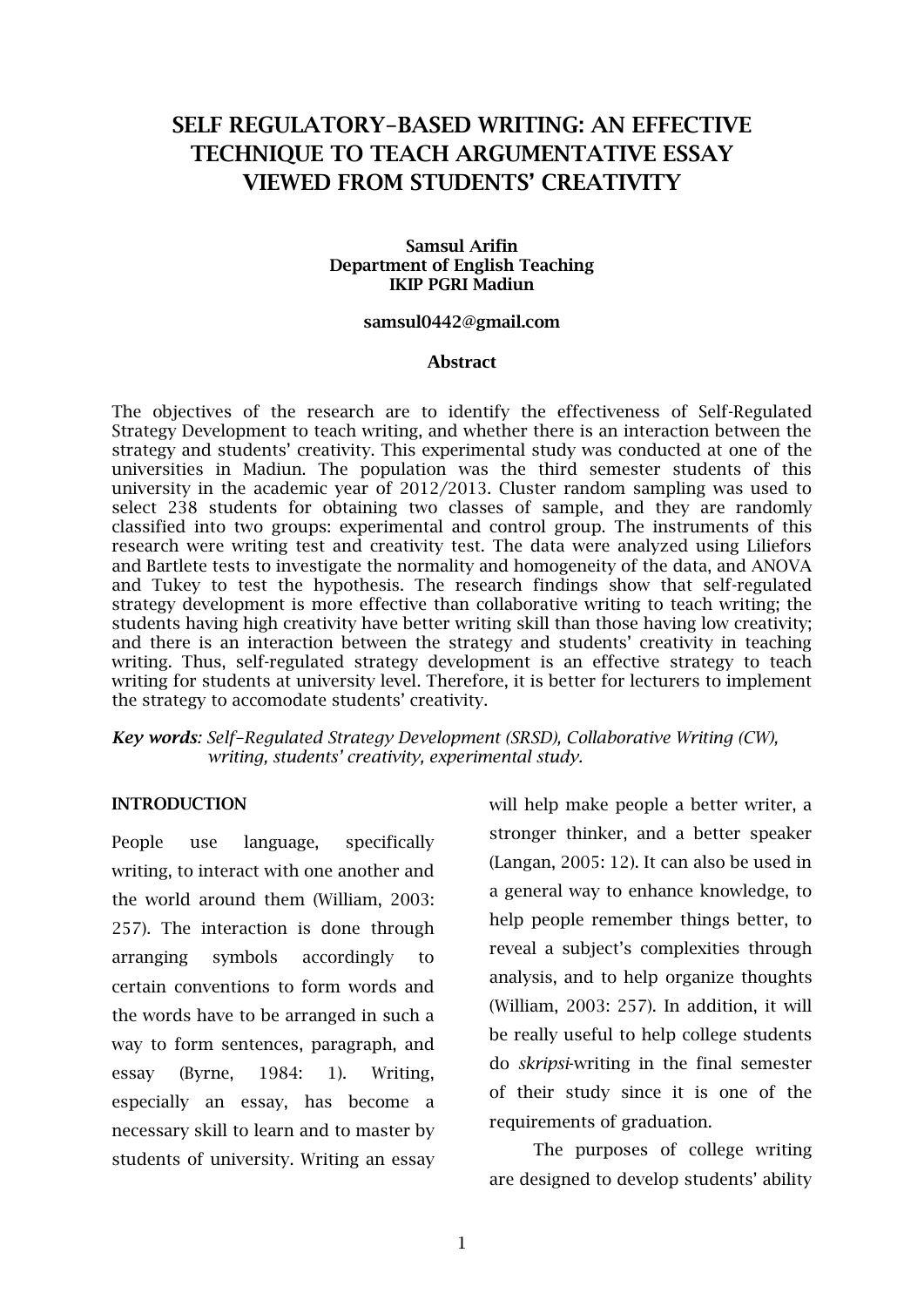# **SELF REGULATORY-BASED WRITING: AN EFFECTIVE TECHNIQUE TO TEACH ARGUMENTATIVE ESSAY VIEWED FROM STUDENTS' CREATIVITY**

## **Samsul Arifin Department of English Teaching IKIP PGRI Madiun**

## **[samsul0442@gmail.com](mailto:samsul0442@gmail.com)**

#### **Abstract**

The objectives of the research are to identify the effectiveness of Self-Regulated Strategy Development to teach writing, and whether there is an interaction between the strategy and students' creativity. This experimental study was conducted at one of the universities in Madiun. The population was the third semester students of this university in the academic year of 2012/2013. Cluster random sampling was used to select 238 students for obtaining two classes of sample, and they are randomly classified into two groups: experimental and control group. The instruments of this research were writing test and creativity test. The data were analyzed using Liliefors and Bartlete tests to investigate the normality and homogeneity of the data, and ANOVA and Tukey to test the hypothesis. The research findings show that self-regulated strategy development is more effective than collaborative writing to teach writing; the students having high creativity have better writing skill than those having low creativity; and there is an interaction between the strategy and students' creativity in teaching writing. Thus, self-regulated strategy development is an effective strategy to teach writing for students at university level. Therefore, it is better for lecturers to implement the strategy to accomodate students' creativity.

## *Key words: Self-Regulated Strategy Development (SRSD), Collaborative Writing (CW), writing, students' creativity, experimental study.*

## **INTRODUCTION**

People use language, specifically writing, to interact with one another and the world around them (William, 2003: 257). The interaction is done through arranging symbols accordingly to certain conventions to form words and the words have to be arranged in such a way to form sentences, paragraph, and essay (Byrne, 1984: 1). Writing, especially an essay, has become a necessary skill to learn and to master by students of university. Writing an essay will help make people a better writer, a stronger thinker, and a better speaker (Langan, 2005: 12). It can also be used in a general way to enhance knowledge, to help people remember things better, to reveal a subject's complexities through analysis, and to help organize thoughts (William, 2003: 257). In addition, it will be really useful to help college students do *skripsi*-writing in the final semester of their study since it is one of the requirements of graduation.

The purposes of college writing are designed to develop students' ability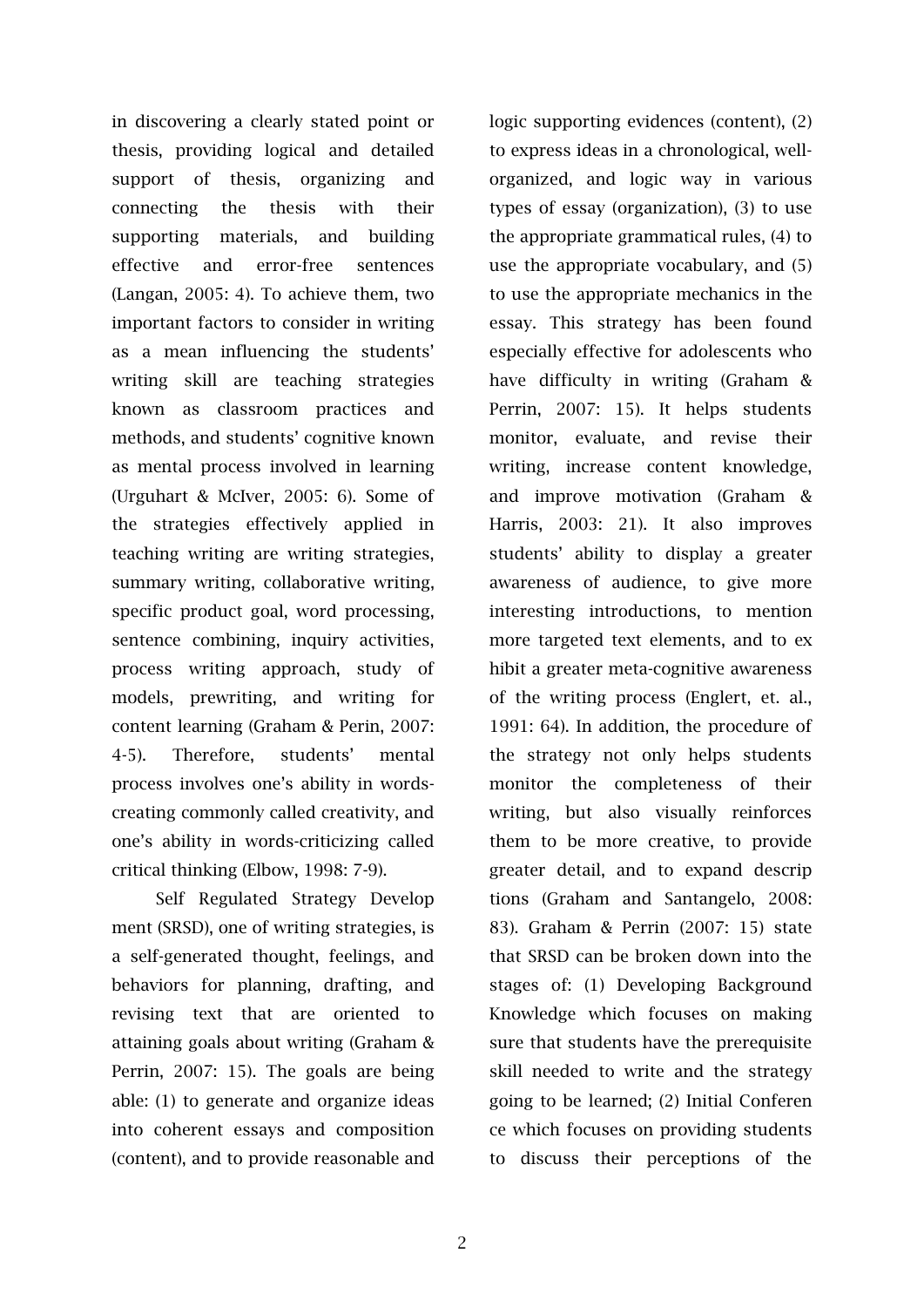in discovering a clearly stated point or thesis, providing logical and detailed support of thesis, organizing and connecting the thesis with their supporting materials, and building effective and error-free sentences (Langan, 2005: 4). To achieve them, two important factors to consider in writing as a mean influencing the students' writing skill are teaching strategies known as classroom practices and methods, and students' cognitive known as mental process involved in learning (Urguhart & McIver, 2005: 6). Some of the strategies effectively applied in teaching writing are writing strategies, summary writing, collaborative writing, specific product goal, word processing, sentence combining, inquiry activities, process writing approach, study of models, prewriting, and writing for content learning (Graham & Perin, 2007: 4-5). Therefore, students' mental process involves one's ability in wordscreating commonly called creativity, and one's ability in words-criticizing called critical thinking (Elbow, 1998: 7-9).

Self Regulated Strategy Develop ment (SRSD), one of writing strategies, is a self-generated thought, feelings, and behaviors for planning, drafting, and revising text that are oriented to attaining goals about writing (Graham & Perrin, 2007: 15). The goals are being able: (1) to generate and organize ideas into coherent essays and composition (content), and to provide reasonable and

logic supporting evidences (content), (2) to express ideas in a chronological, wellorganized, and logic way in various types of essay (organization), (3) to use the appropriate grammatical rules, (4) to use the appropriate vocabulary, and (5) to use the appropriate mechanics in the essay. This strategy has been found especially effective for adolescents who have difficulty in writing (Graham & Perrin, 2007: 15). It helps students monitor, evaluate, and revise their writing, increase content knowledge, and improve motivation (Graham & Harris, 2003: 21). It also improves students' ability to display a greater awareness of audience, to give more interesting introductions, to mention more targeted text elements, and to ex hibit a greater meta-cognitive awareness of the writing process (Englert, et. al., 1991: 64). In addition, the procedure of the strategy not only helps students monitor the completeness of their writing, but also visually reinforces them to be more creative, to provide greater detail, and to expand descrip tions (Graham and Santangelo, 2008: 83). Graham & Perrin (2007: 15) state that SRSD can be broken down into the stages of: (1) Developing Background Knowledge which focuses on making sure that students have the prerequisite skill needed to write and the strategy going to be learned; (2) Initial Conferen ce which focuses on providing students to discuss their perceptions of the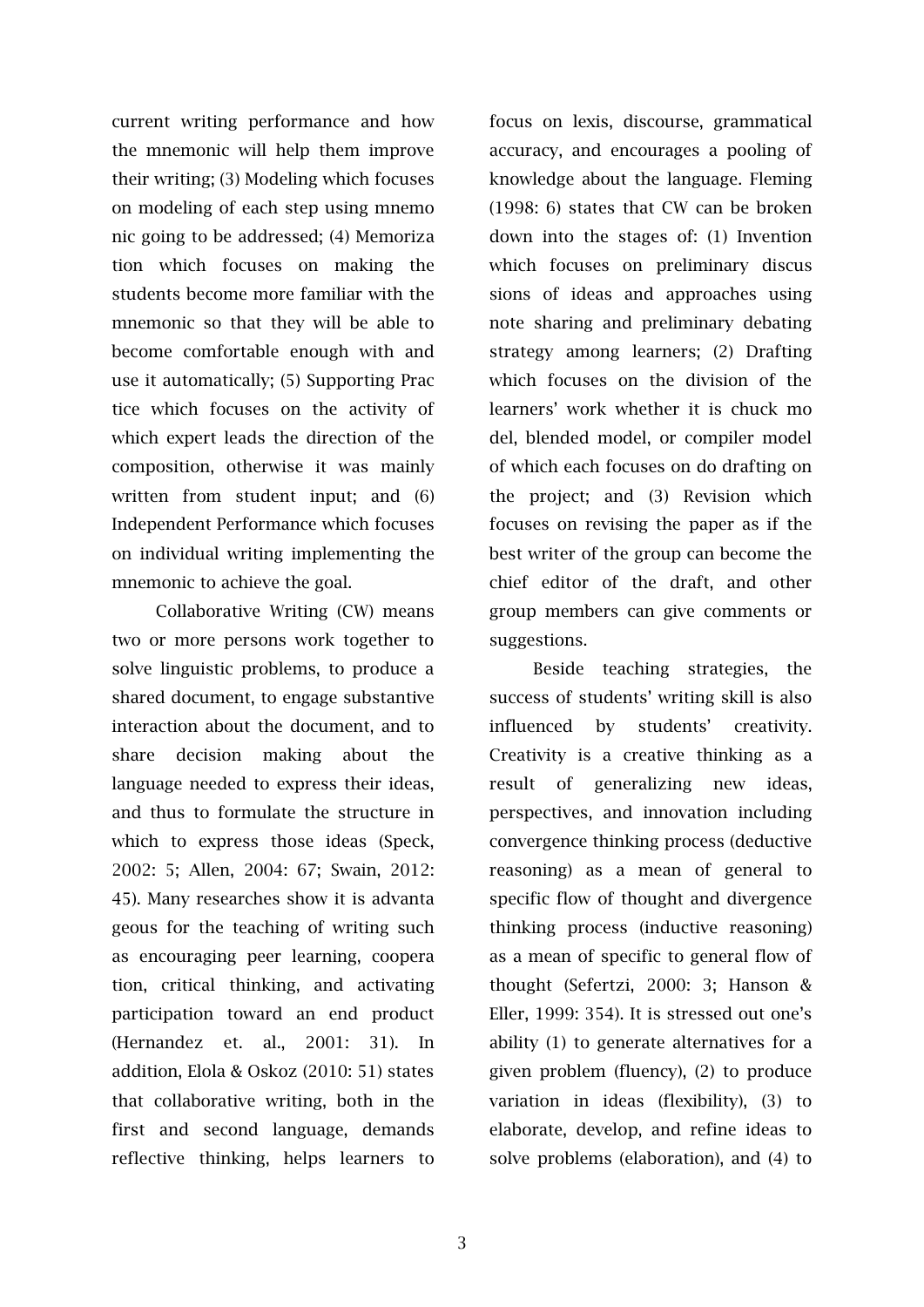current writing performance and how the mnemonic will help them improve their writing; (3) Modeling which focuses on modeling of each step using mnemo nic going to be addressed; (4) Memoriza tion which focuses on making the students become more familiar with the mnemonic so that they will be able to become comfortable enough with and use it automatically; (5) Supporting Prac tice which focuses on the activity of which expert leads the direction of the composition, otherwise it was mainly written from student input; and (6) Independent Performance which focuses on individual writing implementing the mnemonic to achieve the goal.

Collaborative Writing (CW) means two or more persons work together to solve linguistic problems, to produce a shared document, to engage substantive interaction about the document, and to share decision making about the language needed to express their ideas, and thus to formulate the structure in which to express those ideas (Speck, 2002: 5; Allen, 2004: 67; Swain, 2012: 45). Many researches show it is advanta geous for the teaching of writing such as encouraging peer learning, coopera tion, critical thinking, and activating participation toward an end product (Hernandez et. al., 2001: 31). In addition, Elola & Oskoz (2010: 51) states that collaborative writing, both in the first and second language, demands reflective thinking, helps learners to focus on lexis, discourse, grammatical accuracy, and encourages a pooling of knowledge about the language. Fleming (1998: 6) states that CW can be broken down into the stages of: (1) Invention which focuses on preliminary discus sions of ideas and approaches using note sharing and preliminary debating strategy among learners; (2) Drafting which focuses on the division of the learners' work whether it is chuck mo del, blended model, or compiler model of which each focuses on do drafting on the project; and (3) Revision which focuses on revising the paper as if the best writer of the group can become the chief editor of the draft, and other group members can give comments or suggestions.

Beside teaching strategies, the success of students' writing skill is also influenced by students' creativity. Creativity is a creative thinking as a result of generalizing new ideas, perspectives, and innovation including convergence thinking process (deductive reasoning) as a mean of general to specific flow of thought and divergence thinking process (inductive reasoning) as a mean of specific to general flow of thought (Sefertzi, 2000: 3; Hanson & Eller, 1999: 354). It is stressed out one's ability (1) to generate alternatives for a given problem (fluency), (2) to produce variation in ideas (flexibility), (3) to elaborate, develop, and refine ideas to solve problems (elaboration), and (4) to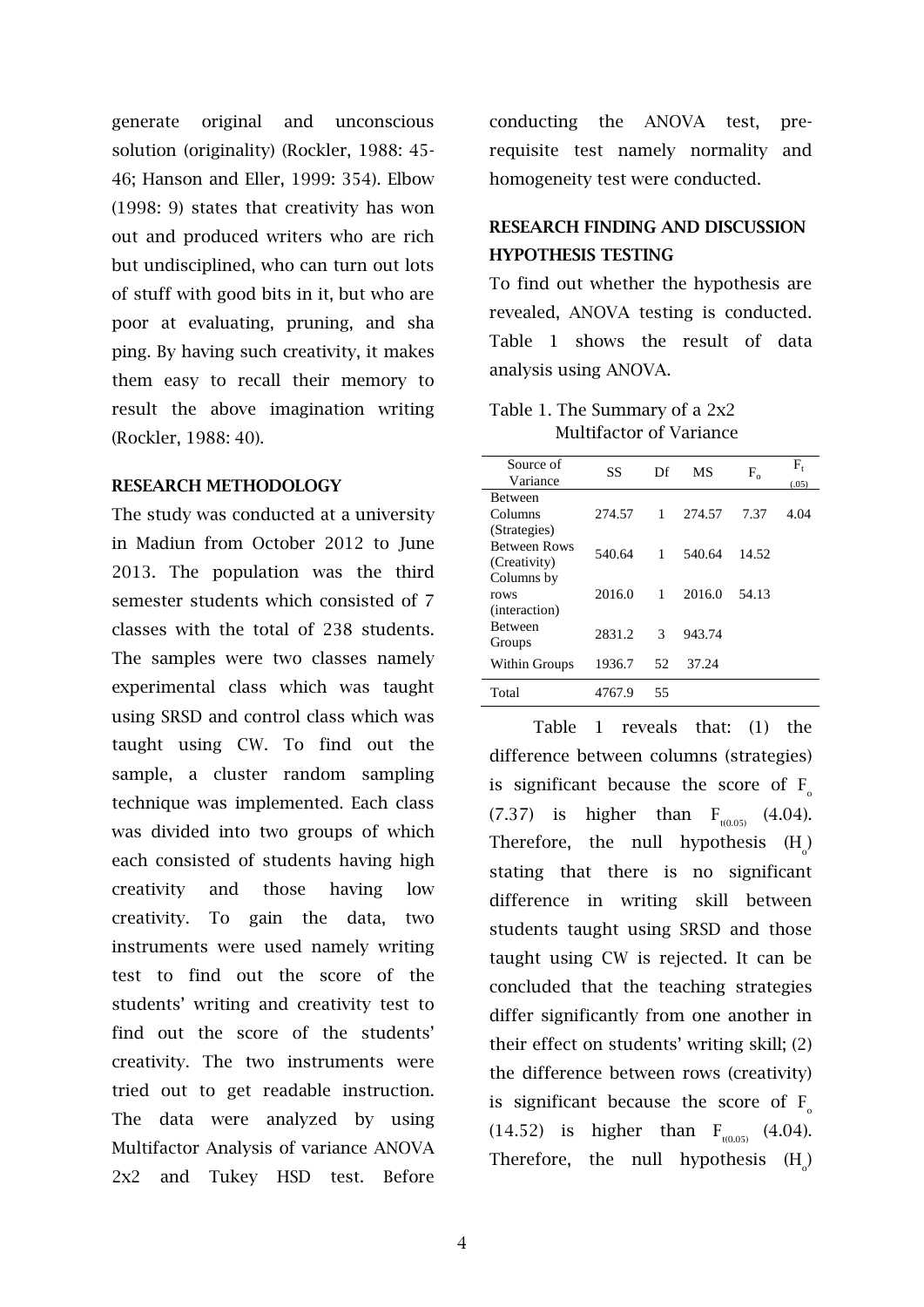generate original and unconscious solution (originality) (Rockler, 1988: 45- 46; Hanson and Eller, 1999: 354). Elbow (1998: 9) states that creativity has won out and produced writers who are rich but undisciplined, who can turn out lots of stuff with good bits in it, but who are poor at evaluating, pruning, and sha ping. By having such creativity, it makes them easy to recall their memory to result the above imagination writing (Rockler, 1988: 40).

## **RESEARCH METHODOLOGY**

The study was conducted at a university in Madiun from October 2012 to June 2013. The population was the third semester students which consisted of 7 classes with the total of 238 students. The samples were two classes namely experimental class which was taught using SRSD and control class which was taught using CW. To find out the sample, a cluster random sampling technique was implemented. Each class was divided into two groups of which each consisted of students having high creativity and those having low creativity. To gain the data, two instruments were used namely writing test to find out the score of the students' writing and creativity test to find out the score of the students' creativity. The two instruments were tried out to get readable instruction. The data were analyzed by using Multifactor Analysis of variance ANOVA 2x2 and Tukey HSD test. Before conducting the ANOVA test, prerequisite test namely normality and homogeneity test were conducted.

## **RESEARCH FINDING AND DISCUSSION HYPOTHESIS TESTING**

To find out whether the hypothesis are revealed, ANOVA testing is conducted. Table 1 shows the result of data analysis using ANOVA.

| Table 1. The Summary of a 2x2  |
|--------------------------------|
| <b>Multifactor of Variance</b> |

| Source of<br>Variance | SS     | Df<br>MS |        | $F_{\alpha}$ | $\rm F_{t}$<br>(.05) |
|-----------------------|--------|----------|--------|--------------|----------------------|
| <b>Between</b>        |        |          |        |              |                      |
| Columns               | 274.57 | 1        | 274.57 | 7.37         | 4.04                 |
| (Strategies)          |        |          |        |              |                      |
| <b>Between Rows</b>   | 540.64 | 1        | 540.64 | 14.52        |                      |
| (Creativity)          |        |          |        |              |                      |
| Columns by            |        |          |        |              |                      |
| rows                  | 2016.0 | 1        | 2016.0 | 54.13        |                      |
| (interaction)         |        |          |        |              |                      |
| <b>Between</b>        | 2831.2 | 3        | 943.74 |              |                      |
| Groups                |        |          |        |              |                      |
| Within Groups         | 1936.7 | 52       | 37.24  |              |                      |
|                       |        |          |        |              |                      |
| Total                 | 4767.9 | 55       |        |              |                      |

Table 1 reveals that: (1) the difference between columns (strategies) is significant because the score of  $F_{0}$ (7.37) is higher than  $F_{t(0.05)}$  (4.04). Therefore, the null hypothesis  $(H_0)$ stating that there is no significant difference in writing skill between students taught using SRSD and those taught using CW is rejected. It can be concluded that the teaching strategies differ significantly from one another in their effect on students' writing skill; (2) the difference between rows (creativity) is significant because the score of  $F$ (14.52) is higher than  $F_{t(0.05)}$  (4.04). Therefore, the null hypothesis  $(H_0)$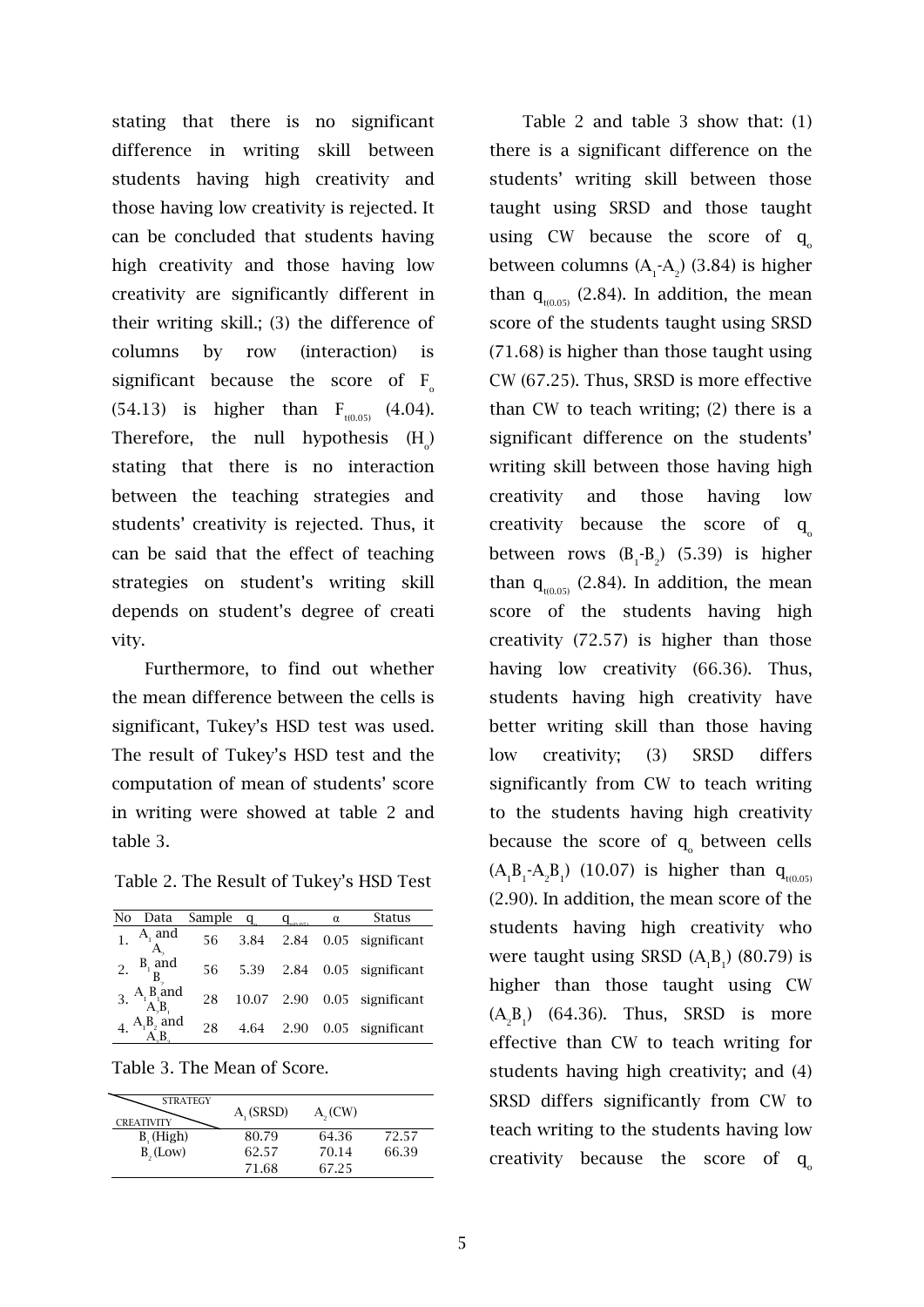stating that there is no significant difference in writing skill between students having high creativity and those having low creativity is rejected. It can be concluded that students having high creativity and those having low creativity are significantly different in their writing skill.; (3) the difference of columns by row (interaction) is significant because the score of  $F_{o}$ (54.13) is higher than  $F_{t(0.05)}$  (4.04). Therefore, the null hypothesis  $(H_0)$ stating that there is no interaction between the teaching strategies and students' creativity is rejected. Thus, it can be said that the effect of teaching strategies on student's writing skill depends on student's degree of creati vity.

Furthermore, to find out whether the mean difference between the cells is significant, Tukey's HSD test was used. The result of Tukey's HSD test and the computation of mean of students' score in writing were showed at table 2 and table 3.

Table 2. The Result of Tukey's HSD Test

| No | Data                     | Sample |            | $q_{\rm max}$ | α | <b>Status</b>    |
|----|--------------------------|--------|------------|---------------|---|------------------|
|    | $A_1$ and                | 56     | 3.84 2.84  |               |   | 0.05 significant |
|    | $B1$ and                 | 56     | 5.39 2.84  |               |   | 0.05 significant |
|    | 3. $A_1B_1$ and $A_2B_1$ | 28     | 10.07 2.90 |               |   | 0.05 significant |
|    | $A_1B_2$ and             | 28     | 4.64 2.90  |               |   | 0.05 significant |

Table 3. The Mean of Score.

| <b>STRATEGY</b><br><b>CREATIVITY</b> | A (SRSD) | A <sub>0</sub> (CW) |       |
|--------------------------------------|----------|---------------------|-------|
| $B_{1}$ (High)                       | 80.79    | 64.36               | 72.57 |
| $B_{0}(Low)$                         | 62.57    | 70.14               | 66.39 |
|                                      | 71.68    | 67.25               |       |

Table 2 and table 3 show that: (1) there is a significant difference on the students' writing skill between those taught using SRSD and those taught using CW because the score of  $q_{\circ}$ between columns (A<sub>1</sub>-A<sub>2</sub>) (3.84) is higher than  $q_{t(0.05)}$  (2.84). In addition, the mean score of the students taught using SRSD (71.68) is higher than those taught using CW (67.25). Thus, SRSD is more effective than CW to teach writing; (2) there is a significant difference on the students' writing skill between those having high creativity and those having low creativity because the score of  $q_a$ between rows  $(B_1 - B_2)$  (5.39) is higher than  $q_{\text{t(0.05)}}$  (2.84). In addition, the mean score of the students having high creativity (72.57) is higher than those having low creativity (66.36). Thus, students having high creativity have better writing skill than those having low creativity; (3) SRSD differs significantly from CW to teach writing to the students having high creativity because the score of q<sub>o</sub> between cells  $(A_1B_1 - A_2B_1)$  (10.07) is higher than  $q_{t(0.05)}$ (2.90). In addition, the mean score of the students having high creativity who were taught using SRSD  $(A_1B_1)$  (80.79) is higher than those taught using CW  $(A_2B_1)$  (64.36). Thus, SRSD is more effective than CW to teach writing for students having high creativity; and (4) SRSD differs significantly from CW to teach writing to the students having low creativity because the score of  $q_{\circ}$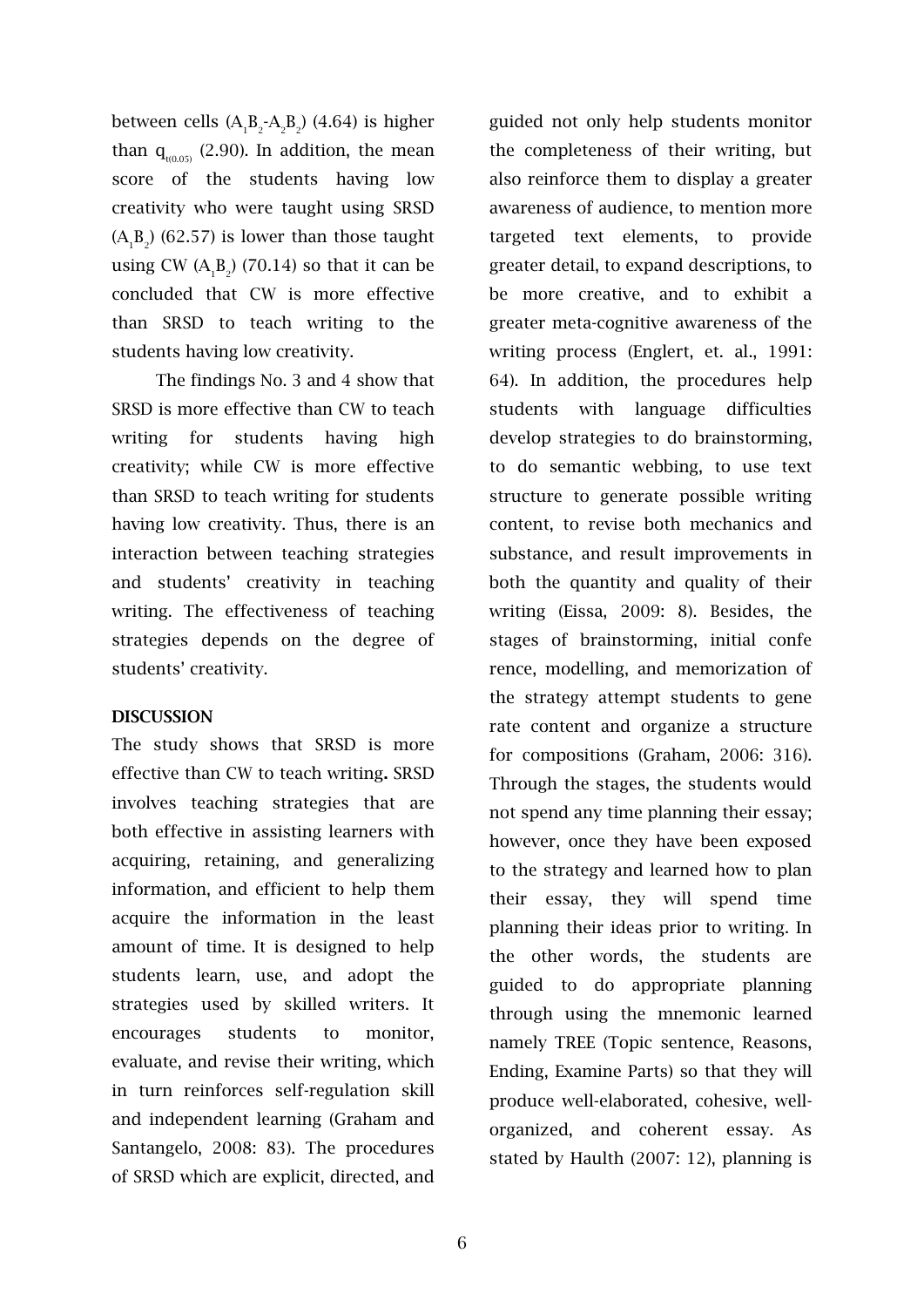between cells  $(A_1B_2-A_2B_2)$  (4.64) is higher than  $q_{t(0.05)}$  (2.90). In addition, the mean score of the students having low creativity who were taught using SRSD  $(A_1B_2)$  (62.57) is lower than those taught using CW  $(A_1B_2)$  (70.14) so that it can be concluded that CW is more effective than SRSD to teach writing to the students having low creativity.

The findings No. 3 and 4 show that SRSD is more effective than CW to teach writing for students having high creativity; while CW is more effective than SRSD to teach writing for students having low creativity. Thus, there is an interaction between teaching strategies and students' creativity in teaching writing. The effectiveness of teaching strategies depends on the degree of students' creativity.

## **DISCUSSION**

The study shows that SRSD is more effective than CW to teach writing**.** SRSD involves teaching strategies that are both effective in assisting learners with acquiring, retaining, and generalizing information, and efficient to help them acquire the information in the least amount of time. It is designed to help students learn, use, and adopt the strategies used by skilled writers. It encourages students to monitor, evaluate, and revise their writing, which in turn reinforces self-regulation skill and independent learning (Graham and Santangelo, 2008: 83). The procedures of SRSD which are explicit, directed, and guided not only help students monitor the completeness of their writing, but also reinforce them to display a greater awareness of audience, to mention more targeted text elements, to provide greater detail, to expand descriptions, to be more creative, and to exhibit a greater meta-cognitive awareness of the writing process (Englert, et. al., 1991: 64). In addition, the procedures help students with language difficulties develop strategies to do brainstorming, to do semantic webbing, to use text structure to generate possible writing content, to revise both mechanics and substance, and result improvements in both the quantity and quality of their writing (Eissa, 2009: 8). Besides, the stages of brainstorming, initial confe rence, modelling, and memorization of the strategy attempt students to gene rate content and organize a structure for compositions (Graham, 2006: 316). Through the stages, the students would not spend any time planning their essay; however, once they have been exposed to the strategy and learned how to plan their essay, they will spend time planning their ideas prior to writing. In the other words, the students are guided to do appropriate planning through using the mnemonic learned namely TREE (Topic sentence, Reasons, Ending, Examine Parts) so that they will produce well-elaborated, cohesive, wellorganized, and coherent essay. As stated by Haulth (2007: 12), planning is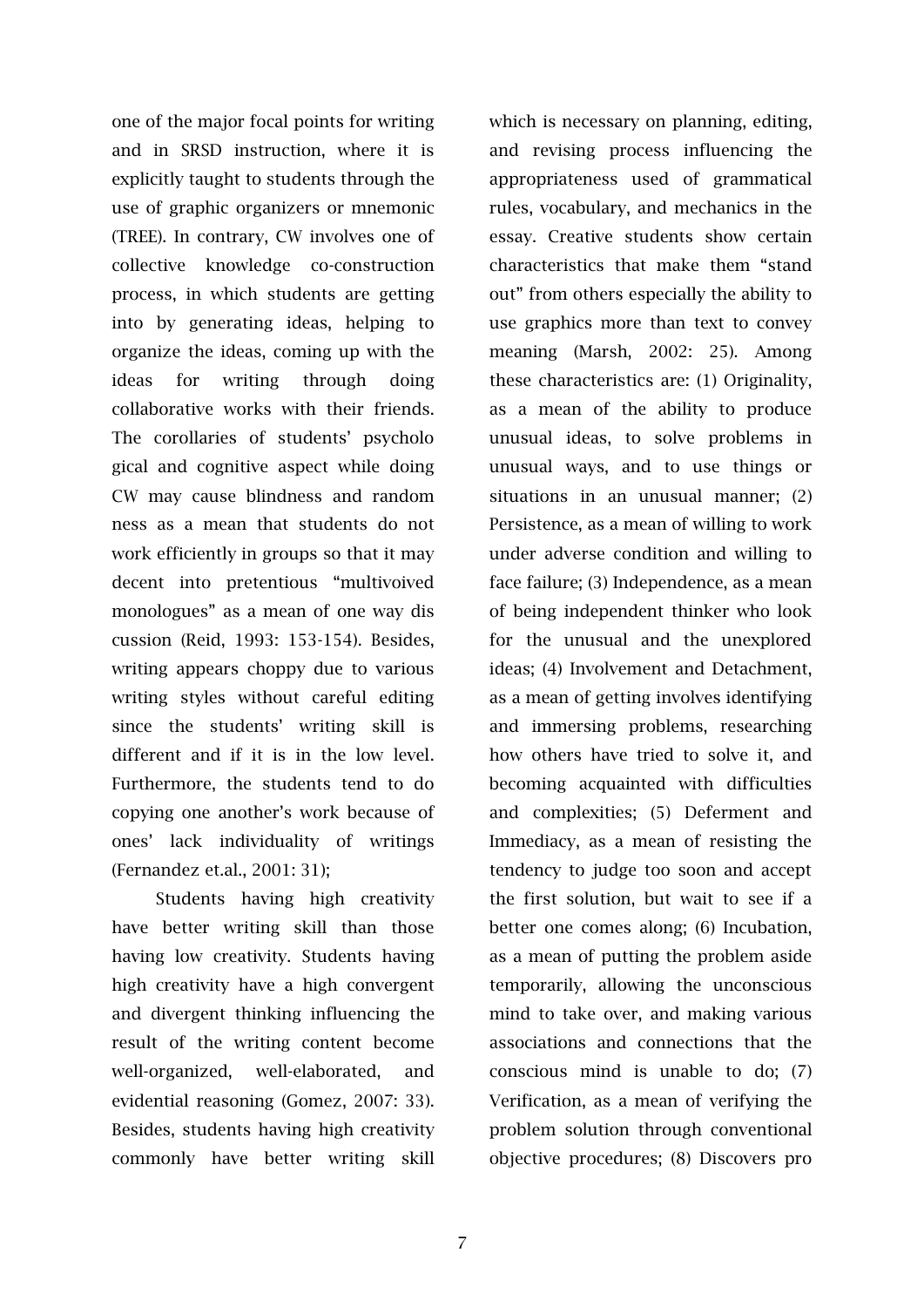one of the major focal points for writing and in SRSD instruction, where it is explicitly taught to students through the use of graphic organizers or mnemonic (TREE). In contrary, CW involves one of collective knowledge co-construction process, in which students are getting into by generating ideas, helping to organize the ideas, coming up with the ideas for writing through doing collaborative works with their friends. The corollaries of students' psycholo gical and cognitive aspect while doing CW may cause blindness and random ness as a mean that students do not work efficiently in groups so that it may decent into pretentious "multivoived monologues" as a mean of one way dis cussion (Reid, 1993: 153-154). Besides, writing appears choppy due to various writing styles without careful editing since the students' writing skill is different and if it is in the low level. Furthermore, the students tend to do copying one another's work because of ones' lack individuality of writings (Fernandez et.al., 2001: 31);

Students having high creativity have better writing skill than those having low creativity. Students having high creativity have a high convergent and divergent thinking influencing the result of the writing content become well-organized, well-elaborated, and evidential reasoning (Gomez, 2007: 33). Besides, students having high creativity commonly have better writing skill which is necessary on planning, editing, and revising process influencing the appropriateness used of grammatical rules, vocabulary, and mechanics in the essay. Creative students show certain characteristics that make them "stand out" from others especially the ability to use graphics more than text to convey meaning (Marsh, 2002: 25). Among these characteristics are: (1) Originality, as a mean of the ability to produce unusual ideas, to solve problems in unusual ways, and to use things or situations in an unusual manner; (2) Persistence, as a mean of willing to work under adverse condition and willing to face failure; (3) Independence, as a mean of being independent thinker who look for the unusual and the unexplored ideas; (4) Involvement and Detachment, as a mean of getting involves identifying and immersing problems, researching how others have tried to solve it, and becoming acquainted with difficulties and complexities; (5) Deferment and Immediacy, as a mean of resisting the tendency to judge too soon and accept the first solution, but wait to see if a better one comes along; (6) Incubation, as a mean of putting the problem aside temporarily, allowing the unconscious mind to take over, and making various associations and connections that the conscious mind is unable to do; (7) Verification, as a mean of verifying the problem solution through conventional objective procedures; (8) Discovers pro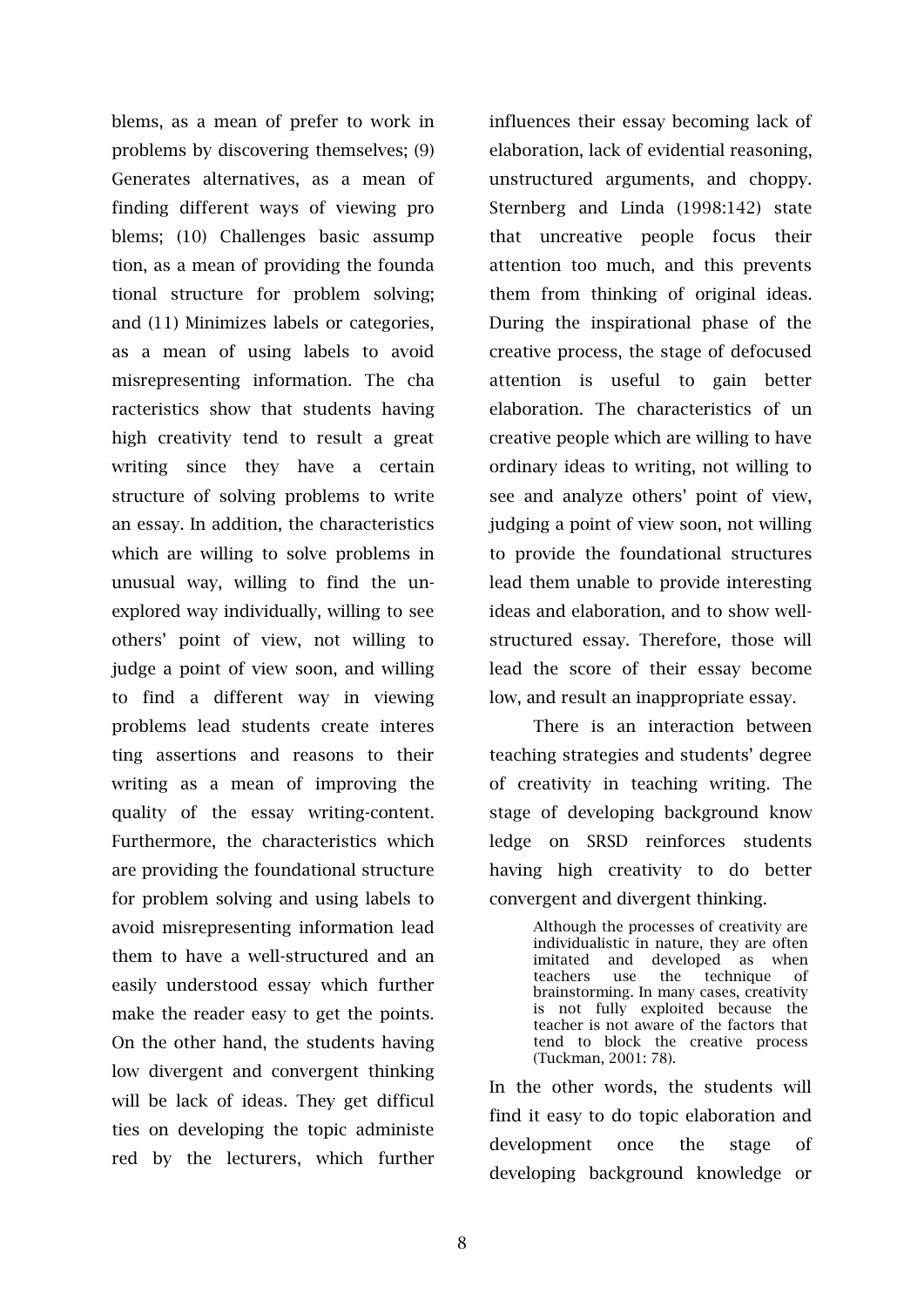blems, as a mean of prefer to work in problems by discovering themselves; (9) Generates alternatives, as a mean of finding different ways of viewing pro blems; (10) Challenges basic assump tion, as a mean of providing the founda tional structure for problem solving; and (11) Minimizes labels or categories, as a mean of using labels to avoid misrepresenting information. The cha racteristics show that students having high creativity tend to result a great writing since they have a certain structure of solving problems to write an essay. In addition, the characteristics which are willing to solve problems in unusual way, willing to find the unexplored way individually, willing to see others' point of view, not willing to judge a point of view soon, and willing to find a different way in viewing problems lead students create interes ting assertions and reasons to their writing as a mean of improving the quality of the essay writing-content. Furthermore, the characteristics which are providing the foundational structure for problem solving and using labels to avoid misrepresenting information lead them to have a well-structured and an easily understood essay which further make the reader easy to get the points. On the other hand, the students having low divergent and convergent thinking will be lack of ideas. They get difficul ties on developing the topic administe red by the lecturers, which further

influences their essay becoming lack of elaboration, lack of evidential reasoning, unstructured arguments, and choppy. Sternberg and Linda (1998:142) state that uncreative people focus their attention too much, and this prevents them from thinking of original ideas. During the inspirational phase of the creative process, the stage of defocused attention is useful to gain better elaboration. The characteristics of un creative people which are willing to have ordinary ideas to writing, not willing to see and analyze others' point of view, judging a point of view soon, not willing to provide the foundational structures lead them unable to provide interesting ideas and elaboration, and to show wellstructured essay. Therefore, those will lead the score of their essay become low, and result an inappropriate essay.

There is an interaction between teaching strategies and students' degree of creativity in teaching writing. The stage of developing background know ledge on SRSD reinforces students having high creativity to do better convergent and divergent thinking.

> Although the processes of creativity are individualistic in nature, they are often imitated and developed as when<br>teachers use the technique of technique of brainstorming. In many cases, creativity is not fully exploited because the teacher is not aware of the factors that tend to block the creative process (Tuckman, 2001: 78).

In the other words, the students will find it easy to do topic elaboration and development once the stage of developing background knowledge or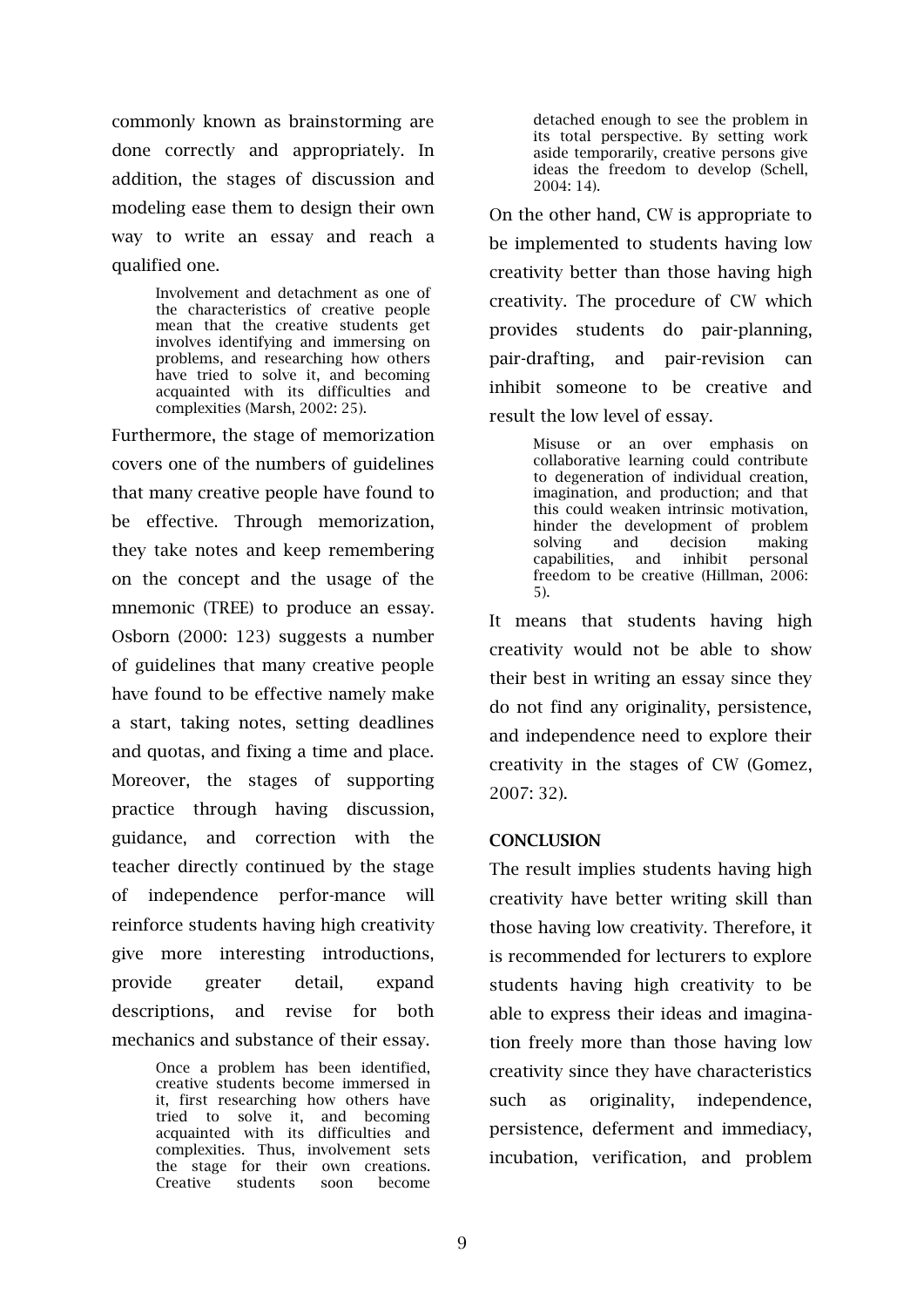commonly known as brainstorming are done correctly and appropriately. In addition, the stages of discussion and modeling ease them to design their own way to write an essay and reach a qualified one.

> Involvement and detachment as one of the characteristics of creative people mean that the creative students get involves identifying and immersing on problems, and researching how others have tried to solve it, and becoming acquainted with its difficulties and complexities (Marsh, 2002: 25).

Furthermore, the stage of memorization covers one of the numbers of guidelines that many creative people have found to be effective. Through memorization, they take notes and keep remembering on the concept and the usage of the mnemonic (TREE) to produce an essay. Osborn (2000: 123) suggests a number of guidelines that many creative people have found to be effective namely make a start, taking notes, setting deadlines and quotas, and fixing a time and place. Moreover, the stages of supporting practice through having discussion, guidance, and correction with the teacher directly continued by the stage of independence perfor-mance will reinforce students having high creativity give more interesting introductions, provide greater detail, expand descriptions, and revise for both mechanics and substance of their essay.

> Once a problem has been identified, creative students become immersed in it, first researching how others have tried to solve it, and becoming acquainted with its difficulties and complexities. Thus, involvement sets the stage for their own creations. Creative students soon become

detached enough to see the problem in its total perspective. By setting work aside temporarily, creative persons give ideas the freedom to develop (Schell, 2004: 14).

On the other hand, CW is appropriate to be implemented to students having low creativity better than those having high creativity. The procedure of CW which provides students do pair-planning, pair-drafting, and pair-revision can inhibit someone to be creative and result the low level of essay.

> Misuse or an over emphasis on collaborative learning could contribute to degeneration of individual creation, imagination, and production; and that this could weaken intrinsic motivation, hinder the development of problem solving and decision making capabilities, and inhibit personal freedom to be creative (Hillman, 2006: 5).

It means that students having high creativity would not be able to show their best in writing an essay since they do not find any originality, persistence, and independence need to explore their creativity in the stages of CW (Gomez, 2007: 32).

## **CONCLUSION**

The result implies students having high creativity have better writing skill than those having low creativity. Therefore, it is recommended for lecturers to explore students having high creativity to be able to express their ideas and imagination freely more than those having low creativity since they have characteristics such as originality, independence, persistence, deferment and immediacy, incubation, verification, and problem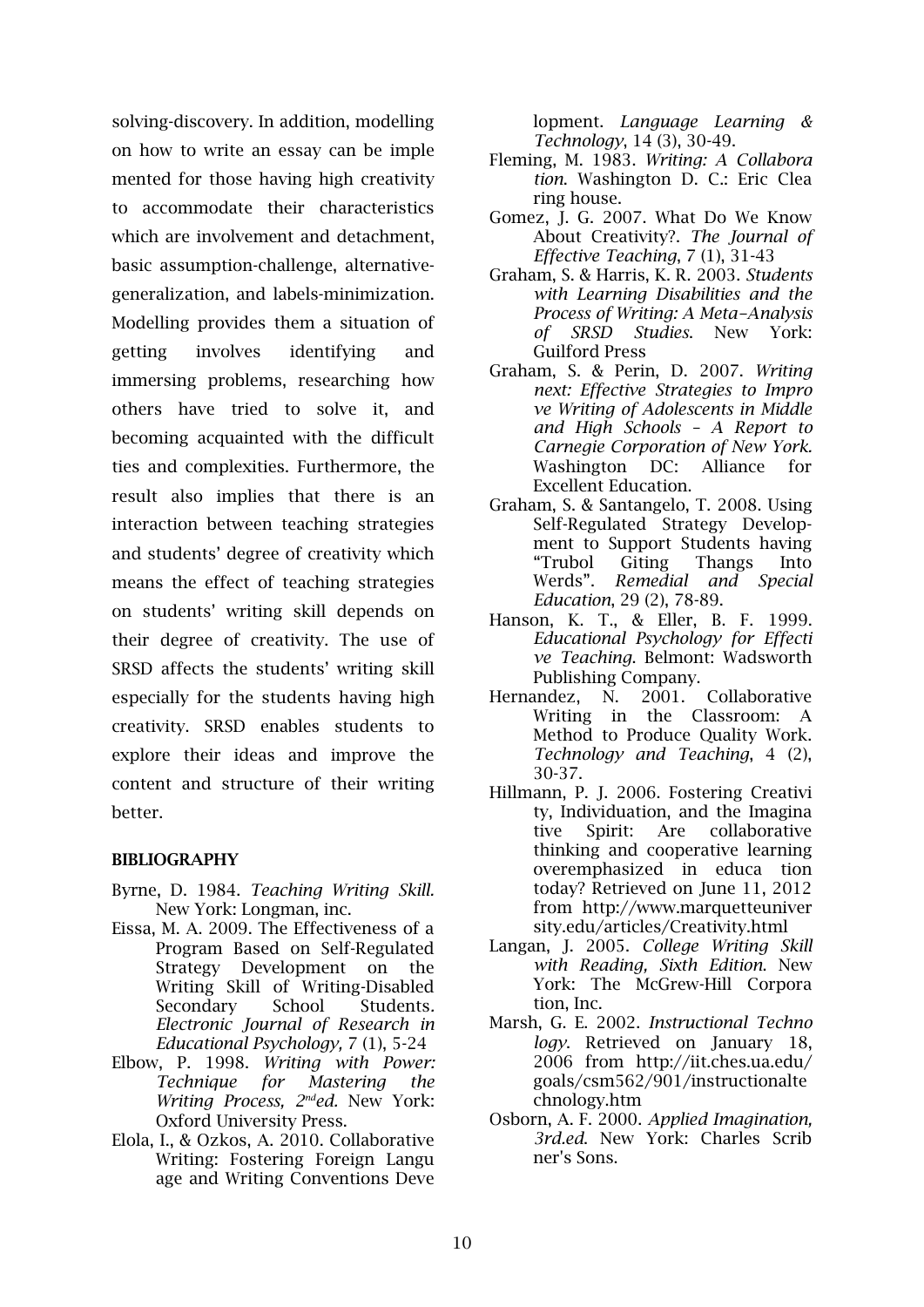solving-discovery. In addition, modelling on how to write an essay can be imple mented for those having high creativity to accommodate their characteristics which are involvement and detachment, basic assumption-challenge, alternativegeneralization, and labels-minimization. Modelling provides them a situation of getting involves identifying and immersing problems, researching how others have tried to solve it, and becoming acquainted with the difficult ties and complexities. Furthermore, the result also implies that there is an interaction between teaching strategies and students' degree of creativity which means the effect of teaching strategies on students' writing skill depends on their degree of creativity. The use of SRSD affects the students' writing skill especially for the students having high creativity. SRSD enables students to explore their ideas and improve the content and structure of their writing better.

## **BIBLIOGRAPHY**

- Byrne, D. 1984. *Teaching Writing Skill.*  New York: Longman, inc.
- Eissa, M. A. 2009. The Effectiveness of a Program Based on Self-Regulated Strategy Development on the Writing Skill of Writing-Disabled Secondary School Students*. Electronic Journal of Research in Educational Psychology,* 7 (1), 5-24
- Elbow, P. 1998. *Writing with Power: Technique for Mastering the Writing Process, 2nded.* New York: Oxford University Press.
- Elola, I., & Ozkos, A. 2010. Collaborative Writing: Fostering Foreign Langu age and Writing Conventions Deve

lopment. *Language Learning & Technology*, 14 (3), 30-49.

- Fleming, M. 1983. *Writing: A Collabora tion*. Washington D. C.: Eric Clea ring house.
- Gomez, J. G. 2007. What Do We Know About Creativity?. *The Journal of Effective Teaching*, 7 (1), 31-43
- Graham, S. & Harris, K. R. 2003. *Students with Learning Disabilities and the Process of Writing: A Meta-Analysis of SRSD Studies*. New York: Guilford Press
- Graham, S. & Perin, D. 2007. *Writing next: Effective Strategies to Impro ve Writing of Adolescents in Middle and High Schools – A Report to Carnegie Corporation of New York.*  Washington DC: Alliance for Excellent Education.
- Graham, S. & Santangelo, T. 2008. Using Self-Regulated Strategy Development to Support Students having "Trubol Giting Thangs Into Werds". *Remedial and Special Education*, 29 (2), 78-89.
- Hanson, K. T., & Eller, B. F. 1999. *Educational Psychology for Effecti ve Teaching*. Belmont: Wadsworth Publishing Company.
- Hernandez, N. 2001. Collaborative Writing in the Classroom: A Method to Produce Quality Work. *Technology and Teaching*, 4 (2), 30-37.
- Hillmann, P. J. 2006. Fostering Creativi ty, Individuation, and the Imagina tive Spirit: Are collaborative thinking and cooperative learning overemphasized in educa tion today? Retrieved on June 11, 2012 from [http://www.marquetteuniver](http://www.marquetteuniver/) sity.edu/articles/Creativity.html
- Langan, J. 2005. *College Writing Skill with Reading, Sixth Edition*. New York: The McGrew-Hill Corpora tion, Inc.
- Marsh, G. E. 2002. *Instructional Techno logy*. Retrieved on January 18, 2006 from [http://iit.ches.ua.edu/](http://iit.ches.ua.edu/%20goals/csm562/901/instructionaltechnology.htm) [goals/csm562/901/instructionalte](http://iit.ches.ua.edu/%20goals/csm562/901/instructionaltechnology.htm) [chnology.htm](http://iit.ches.ua.edu/%20goals/csm562/901/instructionaltechnology.htm)
- Osborn, A. F. 2000. *Applied Imagination, 3rd.ed*. New York: Charles Scrib ner's Sons.